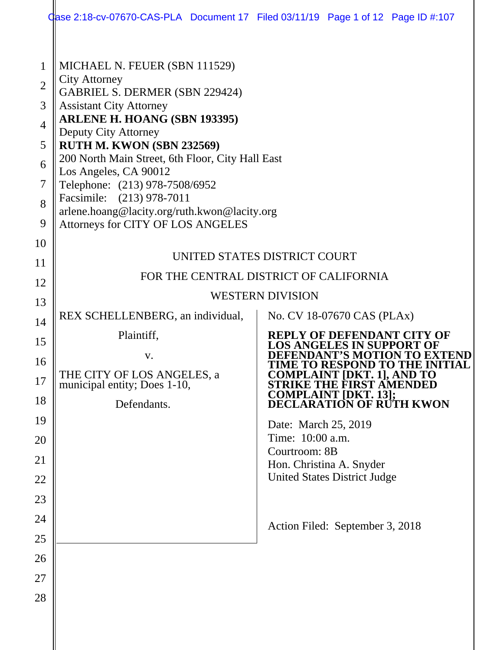|                                            |                                                                                                                                                                                                                                                                                           | Case 2:18-cv-07670-CAS-PLA Document 17 Filed 03/11/19 Page 1 of 12 Page ID #:107                                                                                                                                                                   |  |  |  |
|--------------------------------------------|-------------------------------------------------------------------------------------------------------------------------------------------------------------------------------------------------------------------------------------------------------------------------------------------|----------------------------------------------------------------------------------------------------------------------------------------------------------------------------------------------------------------------------------------------------|--|--|--|
| 1<br>$\overline{2}$<br>3<br>$\overline{4}$ | MICHAEL N. FEUER (SBN 111529)<br><b>City Attorney</b><br><b>GABRIEL S. DERMER (SBN 229424)</b><br><b>Assistant City Attorney</b><br>ARLENE H. HOANG (SBN 193395)                                                                                                                          |                                                                                                                                                                                                                                                    |  |  |  |
| 5<br>6<br>7<br>8<br>9                      | <b>Deputy City Attorney</b><br>RUTH M. KWON (SBN 232569)<br>200 North Main Street, 6th Floor, City Hall East<br>Los Angeles, CA 90012<br>Telephone: (213) 978-7508/6952<br>Facsimile: (213) 978-7011<br>arlene.hoang@lacity.org/ruth.kwon@lacity.org<br>Attorneys for CITY OF LOS ANGELES |                                                                                                                                                                                                                                                    |  |  |  |
| 10<br>11<br>12                             | UNITED STATES DISTRICT COURT<br>FOR THE CENTRAL DISTRICT OF CALIFORNIA                                                                                                                                                                                                                    |                                                                                                                                                                                                                                                    |  |  |  |
| 13<br>14                                   | REX SCHELLENBERG, an individual,                                                                                                                                                                                                                                                          | <b>WESTERN DIVISION</b><br>No. CV 18-07670 CAS (PLAx)                                                                                                                                                                                              |  |  |  |
| 15<br>16<br>17<br>18                       | Plaintiff,<br>V.<br>THE CITY OF LOS ANGELES, a<br>municipal entity; Does 1-10,<br>Defendants.                                                                                                                                                                                             | <b>REPLY OF DEFENDANT CITY OF</b><br><b>DS ANGELES IN SUPPORT</b><br>''S MOTI<br>TIME TO RESPOND TO THE INITIA<br><b>COMPLAINT [DKT. 1], AND TO</b><br><b>STRIKE THE FIRST AMENDED</b><br><b>COMPLAINT [DKT. 13];<br/>DECLARATION OF RUTH KWON</b> |  |  |  |
| 19<br>20<br>21<br>22                       |                                                                                                                                                                                                                                                                                           | Date: March 25, 2019<br>Time: 10:00 a.m.<br>Courtroom: 8B<br>Hon. Christina A. Snyder<br><b>United States District Judge</b>                                                                                                                       |  |  |  |
| 23<br>24<br>25                             |                                                                                                                                                                                                                                                                                           | Action Filed: September 3, 2018                                                                                                                                                                                                                    |  |  |  |
| 26<br>27<br>28                             |                                                                                                                                                                                                                                                                                           |                                                                                                                                                                                                                                                    |  |  |  |
|                                            |                                                                                                                                                                                                                                                                                           |                                                                                                                                                                                                                                                    |  |  |  |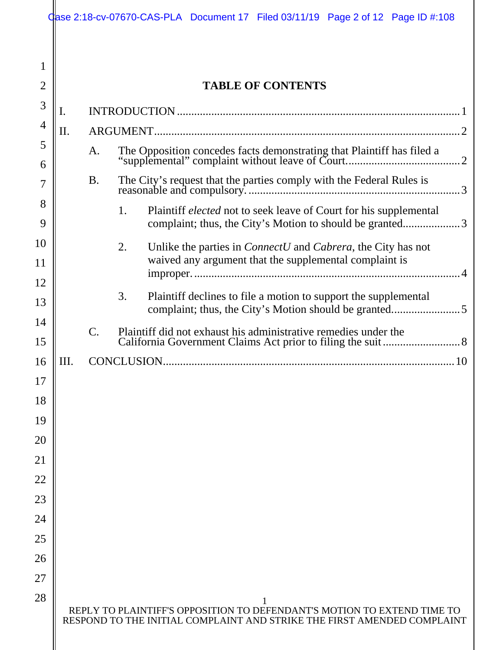|                |    |                                                                                   | Case 2:18-cv-07670-CAS-PLA Document 17 Filed 03/11/19 Page 2 of 12 Page ID #:108                                                                   |  |  |
|----------------|----|-----------------------------------------------------------------------------------|----------------------------------------------------------------------------------------------------------------------------------------------------|--|--|
| 1              |    |                                                                                   |                                                                                                                                                    |  |  |
| $\overline{2}$ |    |                                                                                   | <b>TABLE OF CONTENTS</b>                                                                                                                           |  |  |
| 3              | 1. |                                                                                   |                                                                                                                                                    |  |  |
| 4              | Π. |                                                                                   |                                                                                                                                                    |  |  |
| 5<br>6         |    | A.                                                                                |                                                                                                                                                    |  |  |
| 7              |    | The City's request that the parties comply with the Federal Rules is<br><b>B.</b> |                                                                                                                                                    |  |  |
| 8<br>9         |    |                                                                                   | Plaintiff <i>elected</i> not to seek leave of Court for his supplemental<br>1.<br>complaint; thus, the City's Motion to should be granted3         |  |  |
| 10             |    |                                                                                   | Unlike the parties in <i>ConnectU</i> and <i>Cabrera</i> , the City has not<br>2.                                                                  |  |  |
| 11             |    |                                                                                   | waived any argument that the supplemental complaint is                                                                                             |  |  |
| 12             |    |                                                                                   |                                                                                                                                                    |  |  |
| 13             |    |                                                                                   | 3.<br>Plaintiff declines to file a motion to support the supplemental                                                                              |  |  |
| 14<br>15       |    | C.                                                                                | Plaintiff did not exhaust his administrative remedies under the                                                                                    |  |  |
| 16             | Ш. |                                                                                   |                                                                                                                                                    |  |  |
| 17             |    |                                                                                   |                                                                                                                                                    |  |  |
| 18             |    |                                                                                   |                                                                                                                                                    |  |  |
| 19             |    |                                                                                   |                                                                                                                                                    |  |  |
| 20             |    |                                                                                   |                                                                                                                                                    |  |  |
| 21             |    |                                                                                   |                                                                                                                                                    |  |  |
| 22             |    |                                                                                   |                                                                                                                                                    |  |  |
| 23             |    |                                                                                   |                                                                                                                                                    |  |  |
| 24             |    |                                                                                   |                                                                                                                                                    |  |  |
| 25             |    |                                                                                   |                                                                                                                                                    |  |  |
| 26             |    |                                                                                   |                                                                                                                                                    |  |  |
| 27             |    |                                                                                   |                                                                                                                                                    |  |  |
| 28             |    |                                                                                   | REPLY TO PLAINTIFF'S OPPOSITION TO DEFENDANT'S MOTION TO EXTEND TIME TO<br>RESPOND TO THE INITIAL COMPLAINT AND STRIKE THE FIRST AMENDED COMPLAINT |  |  |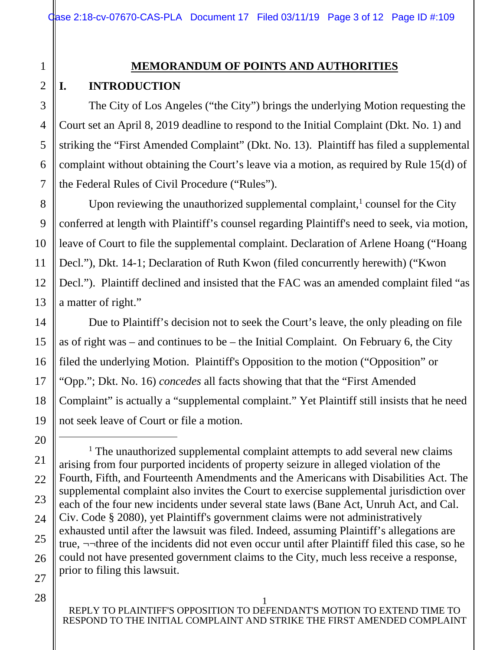### **MEMORANDUM OF POINTS AND AUTHORITIES**

### **I. INTRODUCTION**

The City of Los Angeles ("the City") brings the underlying Motion requesting the Court set an April 8, 2019 deadline to respond to the Initial Complaint (Dkt. No. 1) and striking the "First Amended Complaint" (Dkt. No. 13). Plaintiff has filed a supplemental complaint without obtaining the Court's leave via a motion, as required by Rule 15(d) of the Federal Rules of Civil Procedure ("Rules").

Upon reviewing the unauthorized supplemental complaint, $<sup>1</sup>$  counsel for the City</sup> conferred at length with Plaintiff's counsel regarding Plaintiff's need to seek, via motion, leave of Court to file the supplemental complaint. Declaration of Arlene Hoang ("Hoang Decl."), Dkt. 14-1; Declaration of Ruth Kwon (filed concurrently herewith) ("Kwon Decl."). Plaintiff declined and insisted that the FAC was an amended complaint filed "as a matter of right."

Due to Plaintiff's decision not to seek the Court's leave, the only pleading on file as of right was – and continues to be – the Initial Complaint. On February 6, the City filed the underlying Motion. Plaintiff's Opposition to the motion ("Opposition" or "Opp."; Dkt. No. 16) *concedes* all facts showing that that the "First Amended Complaint" is actually a "supplemental complaint." Yet Plaintiff still insists that he need not seek leave of Court or file a motion.

1

2

3

4

 $\begin{array}{c}\n\hline\n\end{array}$ <sup>1</sup> The unauthorized supplemental complaint attempts to add several new claims arising from four purported incidents of property seizure in alleged violation of the Fourth, Fifth, and Fourteenth Amendments and the Americans with Disabilities Act. The supplemental complaint also invites the Court to exercise supplemental jurisdiction over each of the four new incidents under several state laws (Bane Act, Unruh Act, and Cal. Civ. Code § 2080), yet Plaintiff's government claims were not administratively exhausted until after the lawsuit was filed. Indeed, assuming Plaintiff's allegations are true, ¬¬three of the incidents did not even occur until after Plaintiff filed this case, so he could not have presented government claims to the City, much less receive a response, prior to filing this lawsuit.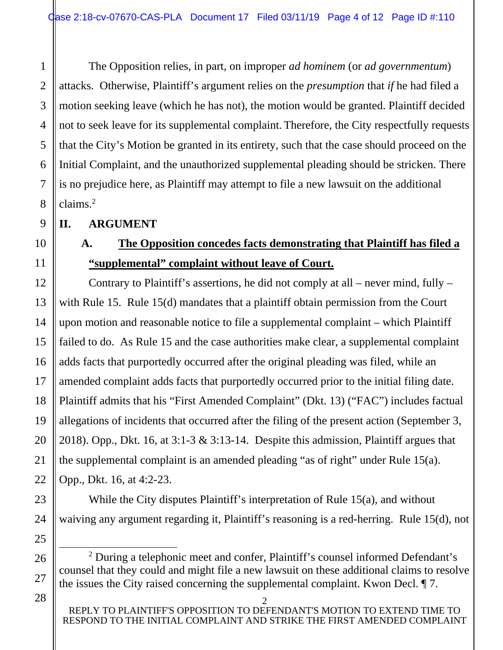The Opposition relies, in part, on improper *ad hominem* (or *ad governmentum*) attacks. Otherwise, Plaintiff's argument relies on the *presumption* that *if* he had filed a motion seeking leave (which he has not), the motion would be granted. Plaintiff decided not to seek leave for its supplemental complaint. Therefore, the City respectfully requests that the City's Motion be granted in its entirety, such that the case should proceed on the Initial Complaint, and the unauthorized supplemental pleading should be stricken. There is no prejudice here, as Plaintiff may attempt to file a new lawsuit on the additional claims.<sup>2</sup>

**II. ARGUMENT** 

1

2

3

4

5

6

7

8

9

10

11

12

13

14

15

16

17

18

19

20

21

22

23

24

25

## **A. The Opposition concedes facts demonstrating that Plaintiff has filed a "supplemental" complaint without leave of Court.**

Contrary to Plaintiff's assertions, he did not comply at all – never mind, fully – with Rule 15. Rule 15(d) mandates that a plaintiff obtain permission from the Court upon motion and reasonable notice to file a supplemental complaint – which Plaintiff failed to do. As Rule 15 and the case authorities make clear, a supplemental complaint adds facts that purportedly occurred after the original pleading was filed, while an amended complaint adds facts that purportedly occurred prior to the initial filing date. Plaintiff admits that his "First Amended Complaint" (Dkt. 13) ("FAC") includes factual allegations of incidents that occurred after the filing of the present action (September 3, 2018). Opp., Dkt. 16, at 3:1-3 & 3:13-14. Despite this admission, Plaintiff argues that the supplemental complaint is an amended pleading "as of right" under Rule 15(a). Opp., Dkt. 16, at 4:2-23.

While the City disputes Plaintiff's interpretation of Rule 15(a), and without waiving any argument regarding it, Plaintiff's reasoning is a red-herring. Rule 15(d), not

 <sup>2</sup> <sup>2</sup> During a telephonic meet and confer, Plaintiff's counsel informed Defendant's counsel that they could and might file a new lawsuit on these additional claims to resolve the issues the City raised concerning the supplemental complaint. Kwon Decl. ¶ 7.

<sup>2</sup>  REPLY TO PLAINTIFF'S OPPOSITION TO DEFENDANT'S MOTION TO EXTEND TIME TO RESPOND TO THE INITIAL COMPLAINT AND STRIKE THE FIRST AMENDED COMPLAINT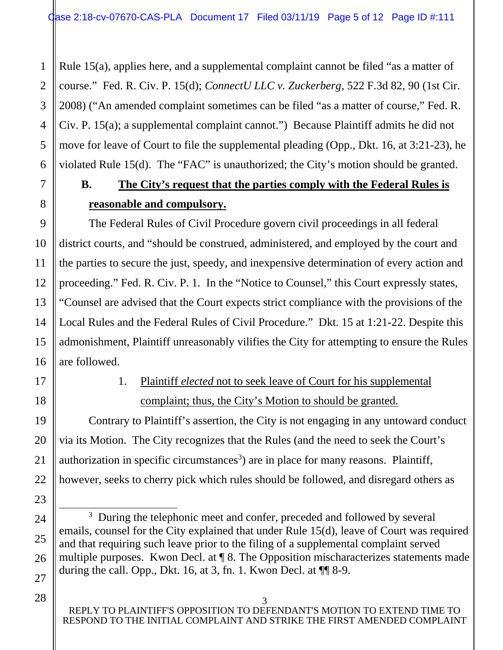Rule 15(a), applies here, and a supplemental complaint cannot be filed "as a matter of course." Fed. R. Civ. P. 15(d); *ConnectU LLC v. Zuckerberg*, 522 F.3d 82, 90 (1st Cir. 2008) ("An amended complaint sometimes can be filed "as a matter of course," Fed. R. Civ. P. 15(a); a supplemental complaint cannot.") Because Plaintiff admits he did not move for leave of Court to file the supplemental pleading (Opp., Dkt. 16, at 3:21-23), he violated Rule 15(d). The "FAC" is unauthorized; the City's motion should be granted.

# **B. The City's request that the parties comply with the Federal Rules is reasonable and compulsory.**

The Federal Rules of Civil Procedure govern civil proceedings in all federal district courts, and "should be construed, administered, and employed by the court and the parties to secure the just, speedy, and inexpensive determination of every action and proceeding." Fed. R. Civ. P. 1. In the "Notice to Counsel," this Court expressly states, "Counsel are advised that the Court expects strict compliance with the provisions of the Local Rules and the Federal Rules of Civil Procedure." Dkt. 15 at 1:21-22. Despite this admonishment, Plaintiff unreasonably vilifies the City for attempting to ensure the Rules are followed.

17

1

2

3

4

5

6

7

8

9

10

11

12

13

14

15

16

18

19

20

21

22

23

24

25

26

27

# 1. Plaintiff *elected* not to seek leave of Court for his supplemental complaint; thus, the City's Motion to should be granted.

Contrary to Plaintiff's assertion, the City is not engaging in any untoward conduct via its Motion. The City recognizes that the Rules (and the need to seek the Court's authorization in specific circumstances<sup>3</sup>) are in place for many reasons. Plaintiff, however, seeks to cherry pick which rules should be followed, and disregard others as

 $\frac{1}{3}$ <sup>3</sup> During the telephonic meet and confer, preceded and followed by several emails, counsel for the City explained that under Rule 15(d), leave of Court was required and that requiring such leave prior to the filing of a supplemental complaint served multiple purposes. Kwon Decl. at ¶ 8. The Opposition mischaracterizes statements made during the call. Opp., Dkt. 16, at 3, fn. 1. Kwon Decl. at  $\P$  8-9.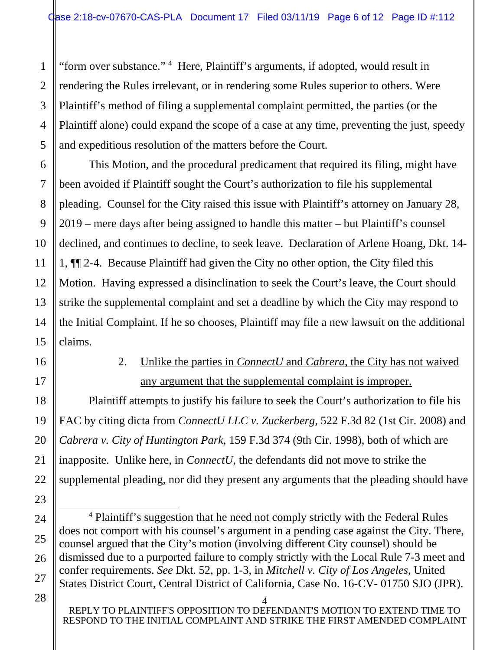"form over substance." <sup>4</sup> Here, Plaintiff's arguments, if adopted, would result in rendering the Rules irrelevant, or in rendering some Rules superior to others. Were Plaintiff's method of filing a supplemental complaint permitted, the parties (or the Plaintiff alone) could expand the scope of a case at any time, preventing the just, speedy and expeditious resolution of the matters before the Court.

This Motion, and the procedural predicament that required its filing, might have been avoided if Plaintiff sought the Court's authorization to file his supplemental pleading. Counsel for the City raised this issue with Plaintiff's attorney on January 28, 2019 – mere days after being assigned to handle this matter – but Plaintiff's counsel declined, and continues to decline, to seek leave. Declaration of Arlene Hoang, Dkt. 14- 1, ¶¶ 2-4. Because Plaintiff had given the City no other option, the City filed this Motion. Having expressed a disinclination to seek the Court's leave, the Court should strike the supplemental complaint and set a deadline by which the City may respond to the Initial Complaint. If he so chooses, Plaintiff may file a new lawsuit on the additional claims.

16 17

1

2

3

4

5

6

7

8

9

10

11

12

13

14

15

18

19

20

21

22

23

24

25

26

27

## 2. Unlike the parties in *ConnectU* and *Cabrera*, the City has not waived any argument that the supplemental complaint is improper.

Plaintiff attempts to justify his failure to seek the Court's authorization to file his FAC by citing dicta from *ConnectU LLC v. Zuckerberg*, 522 F.3d 82 (1st Cir. 2008) and *Cabrera v. City of Huntington Park*, 159 F.3d 374 (9th Cir. 1998), both of which are inapposite. Unlike here, in *ConnectU*, the defendants did not move to strike the supplemental pleading, nor did they present any arguments that the pleading should have

 <sup>4</sup> Plaintiff's suggestion that he need not comply strictly with the Federal Rules does not comport with his counsel's argument in a pending case against the City. There, counsel argued that the City's motion (involving different City counsel) should be dismissed due to a purported failure to comply strictly with the Local Rule 7-3 meet and confer requirements. *See* Dkt. 52, pp. 1-3, in *Mitchell v. City of Los Angeles*, United States District Court, Central District of California, Case No. 16-CV- 01750 SJO (JPR).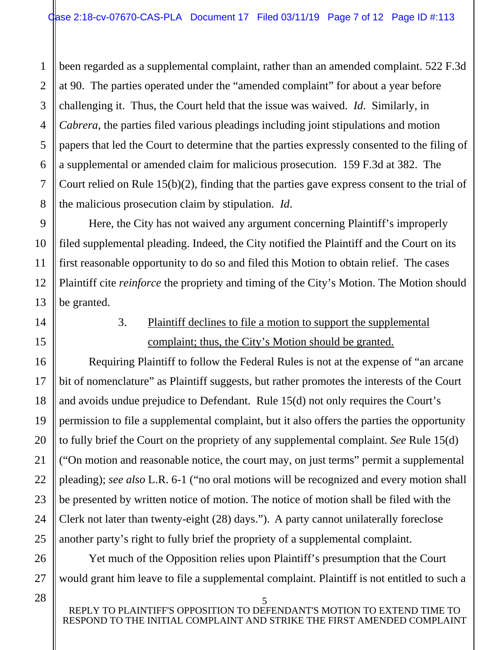been regarded as a supplemental complaint, rather than an amended complaint. 522 F.3d at 90. The parties operated under the "amended complaint" for about a year before challenging it. Thus, the Court held that the issue was waived. *Id*. Similarly, in *Cabrera*, the parties filed various pleadings including joint stipulations and motion papers that led the Court to determine that the parties expressly consented to the filing of a supplemental or amended claim for malicious prosecution. 159 F.3d at 382. The Court relied on Rule 15(b)(2), finding that the parties gave express consent to the trial of the malicious prosecution claim by stipulation. *Id*.

Here, the City has not waived any argument concerning Plaintiff's improperly filed supplemental pleading. Indeed, the City notified the Plaintiff and the Court on its first reasonable opportunity to do so and filed this Motion to obtain relief. The cases Plaintiff cite *reinforce* the propriety and timing of the City's Motion. The Motion should be granted.

# 3. Plaintiff declines to file a motion to support the supplemental complaint; thus, the City's Motion should be granted.

Requiring Plaintiff to follow the Federal Rules is not at the expense of "an arcane bit of nomenclature" as Plaintiff suggests, but rather promotes the interests of the Court and avoids undue prejudice to Defendant. Rule 15(d) not only requires the Court's permission to file a supplemental complaint, but it also offers the parties the opportunity to fully brief the Court on the propriety of any supplemental complaint. *See* Rule 15(d) ("On motion and reasonable notice, the court may, on just terms" permit a supplemental pleading); *see also* L.R. 6-1 ("no oral motions will be recognized and every motion shall be presented by written notice of motion. The notice of motion shall be filed with the Clerk not later than twenty-eight (28) days."). A party cannot unilaterally foreclose another party's right to fully brief the propriety of a supplemental complaint.

Yet much of the Opposition relies upon Plaintiff's presumption that the Court would grant him leave to file a supplemental complaint. Plaintiff is not entitled to such a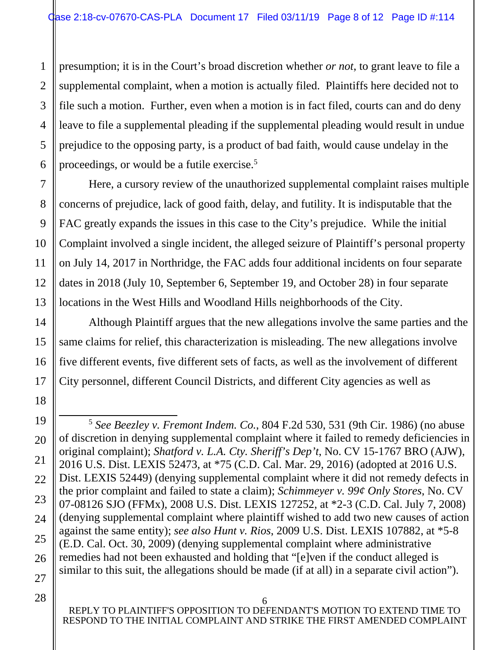1 2 3 4 5 6 presumption; it is in the Court's broad discretion whether *or not*, to grant leave to file a supplemental complaint, when a motion is actually filed. Plaintiffs here decided not to file such a motion. Further, even when a motion is in fact filed, courts can and do deny leave to file a supplemental pleading if the supplemental pleading would result in undue prejudice to the opposing party, is a product of bad faith, would cause undelay in the proceedings, or would be a futile exercise.<sup>5</sup>

Here, a cursory review of the unauthorized supplemental complaint raises multiple concerns of prejudice, lack of good faith, delay, and futility. It is indisputable that the FAC greatly expands the issues in this case to the City's prejudice. While the initial Complaint involved a single incident, the alleged seizure of Plaintiff's personal property on July 14, 2017 in Northridge, the FAC adds four additional incidents on four separate dates in 2018 (July 10, September 6, September 19, and October 28) in four separate locations in the West Hills and Woodland Hills neighborhoods of the City.

Although Plaintiff argues that the new allegations involve the same parties and the same claims for relief, this characterization is misleading. The new allegations involve five different events, five different sets of facts, as well as the involvement of different City personnel, different Council Districts, and different City agencies as well as

7

8

9

10

11

12

13

 <sup>5</sup> *See Beezley v. Fremont Indem. Co.*, 804 F.2d 530, 531 (9th Cir. 1986) (no abuse of discretion in denying supplemental complaint where it failed to remedy deficiencies in original complaint); *Shatford v. L.A. Cty. Sheriff's Dep't*, No. CV 15-1767 BRO (AJW), 2016 U.S. Dist. LEXIS 52473, at \*75 (C.D. Cal. Mar. 29, 2016) (adopted at 2016 U.S. Dist. LEXIS 52449) (denying supplemental complaint where it did not remedy defects in the prior complaint and failed to state a claim); *Schimmeyer v. 99¢ Only Stores*, No. CV 07-08126 SJO (FFMx), 2008 U.S. Dist. LEXIS 127252, at \*2-3 (C.D. Cal. July 7, 2008) (denying supplemental complaint where plaintiff wished to add two new causes of action against the same entity); *see also Hunt v. Rios*, 2009 U.S. Dist. LEXIS 107882, at \*5-8 (E.D. Cal. Oct. 30, 2009) (denying supplemental complaint where administrative remedies had not been exhausted and holding that "[e]ven if the conduct alleged is similar to this suit, the allegations should be made (if at all) in a separate civil action").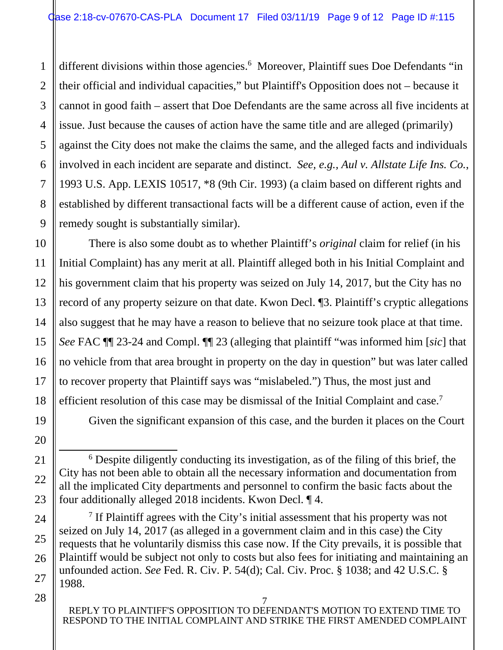1 different divisions within those agencies.<sup>6</sup> Moreover, Plaintiff sues Doe Defendants "in their official and individual capacities," but Plaintiff's Opposition does not – because it cannot in good faith – assert that Doe Defendants are the same across all five incidents at issue. Just because the causes of action have the same title and are alleged (primarily) against the City does not make the claims the same, and the alleged facts and individuals involved in each incident are separate and distinct. *See, e.g., Aul v. Allstate Life Ins. Co.*, 1993 U.S. App. LEXIS 10517, \*8 (9th Cir. 1993) (a claim based on different rights and established by different transactional facts will be a different cause of action, even if the remedy sought is substantially similar).

There is also some doubt as to whether Plaintiff's *original* claim for relief (in his Initial Complaint) has any merit at all. Plaintiff alleged both in his Initial Complaint and his government claim that his property was seized on July 14, 2017, but the City has no record of any property seizure on that date. Kwon Decl. ¶3. Plaintiff's cryptic allegations also suggest that he may have a reason to believe that no seizure took place at that time. *See* FAC ¶¶ 23-24 and Compl. ¶¶ 23 (alleging that plaintiff "was informed him [*sic*] that no vehicle from that area brought in property on the day in question" but was later called to recover property that Plaintiff says was "mislabeled.") Thus, the most just and efficient resolution of this case may be dismissal of the Initial Complaint and case.<sup>7</sup>

Given the significant expansion of this case, and the burden it places on the Court

 6 Despite diligently conducting its investigation, as of the filing of this brief, the City has not been able to obtain all the necessary information and documentation from all the implicated City departments and personnel to confirm the basic facts about the four additionally alleged 2018 incidents. Kwon Decl. ¶ 4.

<sup>7</sup> If Plaintiff agrees with the City's initial assessment that his property was not seized on July 14, 2017 (as alleged in a government claim and in this case) the City requests that he voluntarily dismiss this case now. If the City prevails, it is possible that Plaintiff would be subject not only to costs but also fees for initiating and maintaining an unfounded action. *See* Fed. R. Civ. P. 54(d); Cal. Civ. Proc. § 1038; and 42 U.S.C. § 1988.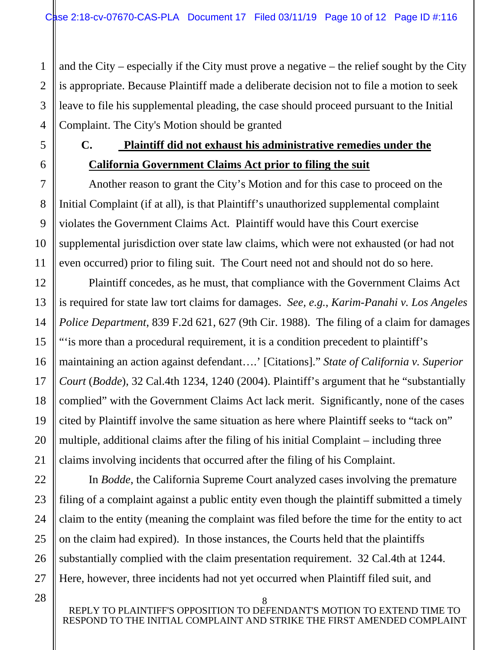and the City – especially if the City must prove a negative – the relief sought by the City is appropriate. Because Plaintiff made a deliberate decision not to file a motion to seek leave to file his supplemental pleading, the case should proceed pursuant to the Initial Complaint. The City's Motion should be granted

1

2

3

4

5

6

7

8

9

10

11

12

13

14

15

16

17

18

19

20

21

22

23

24

25

26

27

## **C. Plaintiff did not exhaust his administrative remedies under the California Government Claims Act prior to filing the suit**

Another reason to grant the City's Motion and for this case to proceed on the Initial Complaint (if at all), is that Plaintiff's unauthorized supplemental complaint violates the Government Claims Act. Plaintiff would have this Court exercise supplemental jurisdiction over state law claims, which were not exhausted (or had not even occurred) prior to filing suit. The Court need not and should not do so here.

Plaintiff concedes, as he must, that compliance with the Government Claims Act is required for state law tort claims for damages. *See, e.g.*, *Karim-Panahi v. Los Angeles Police Department*, 839 F.2d 621, 627 (9th Cir. 1988). The filing of a claim for damages "'is more than a procedural requirement, it is a condition precedent to plaintiff's maintaining an action against defendant….' [Citations]." *State of California v. Superior Court* (*Bodde*), 32 Cal.4th 1234, 1240 (2004). Plaintiff's argument that he "substantially complied" with the Government Claims Act lack merit. Significantly, none of the cases cited by Plaintiff involve the same situation as here where Plaintiff seeks to "tack on" multiple, additional claims after the filing of his initial Complaint – including three claims involving incidents that occurred after the filing of his Complaint.

In *Bodde*, the California Supreme Court analyzed cases involving the premature filing of a complaint against a public entity even though the plaintiff submitted a timely claim to the entity (meaning the complaint was filed before the time for the entity to act on the claim had expired). In those instances, the Courts held that the plaintiffs substantially complied with the claim presentation requirement. 32 Cal.4th at 1244. Here, however, three incidents had not yet occurred when Plaintiff filed suit, and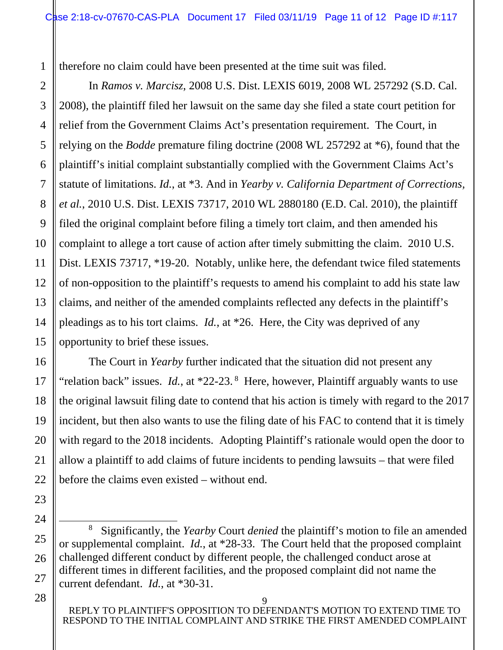1 therefore no claim could have been presented at the time suit was filed.

In *Ramos v. Marcisz*, 2008 U.S. Dist. LEXIS 6019, 2008 WL 257292 (S.D. Cal. 2008), the plaintiff filed her lawsuit on the same day she filed a state court petition for relief from the Government Claims Act's presentation requirement. The Court, in relying on the *Bodde* premature filing doctrine (2008 WL 257292 at \*6), found that the plaintiff's initial complaint substantially complied with the Government Claims Act's statute of limitations. *Id.*, at \*3. And in *Yearby v. California Department of Corrections, et al.*, 2010 U.S. Dist. LEXIS 73717, 2010 WL 2880180 (E.D. Cal. 2010), the plaintiff filed the original complaint before filing a timely tort claim, and then amended his complaint to allege a tort cause of action after timely submitting the claim. 2010 U.S. Dist. LEXIS 73717, \*19-20. Notably, unlike here, the defendant twice filed statements of non-opposition to the plaintiff's requests to amend his complaint to add his state law claims, and neither of the amended complaints reflected any defects in the plaintiff's pleadings as to his tort claims. *Id.*, at \*26. Here, the City was deprived of any opportunity to brief these issues.

The Court in *Yearby* further indicated that the situation did not present any "relation back" issues. *Id.*, at \*22-23. 8 Here, however, Plaintiff arguably wants to use the original lawsuit filing date to contend that his action is timely with regard to the 2017 incident, but then also wants to use the filing date of his FAC to contend that it is timely with regard to the 2018 incidents. Adopting Plaintiff's rationale would open the door to allow a plaintiff to add claims of future incidents to pending lawsuits – that were filed before the claims even existed – without end.

28

2

3

4

5

6

7

8

9

10

11

 <sup>8</sup> Significantly, the *Yearby* Court *denied* the plaintiff's motion to file an amended or supplemental complaint. *Id.*, at \*28-33. The Court held that the proposed complaint challenged different conduct by different people, the challenged conduct arose at different times in different facilities, and the proposed complaint did not name the current defendant. *Id.*, at \*30-31.